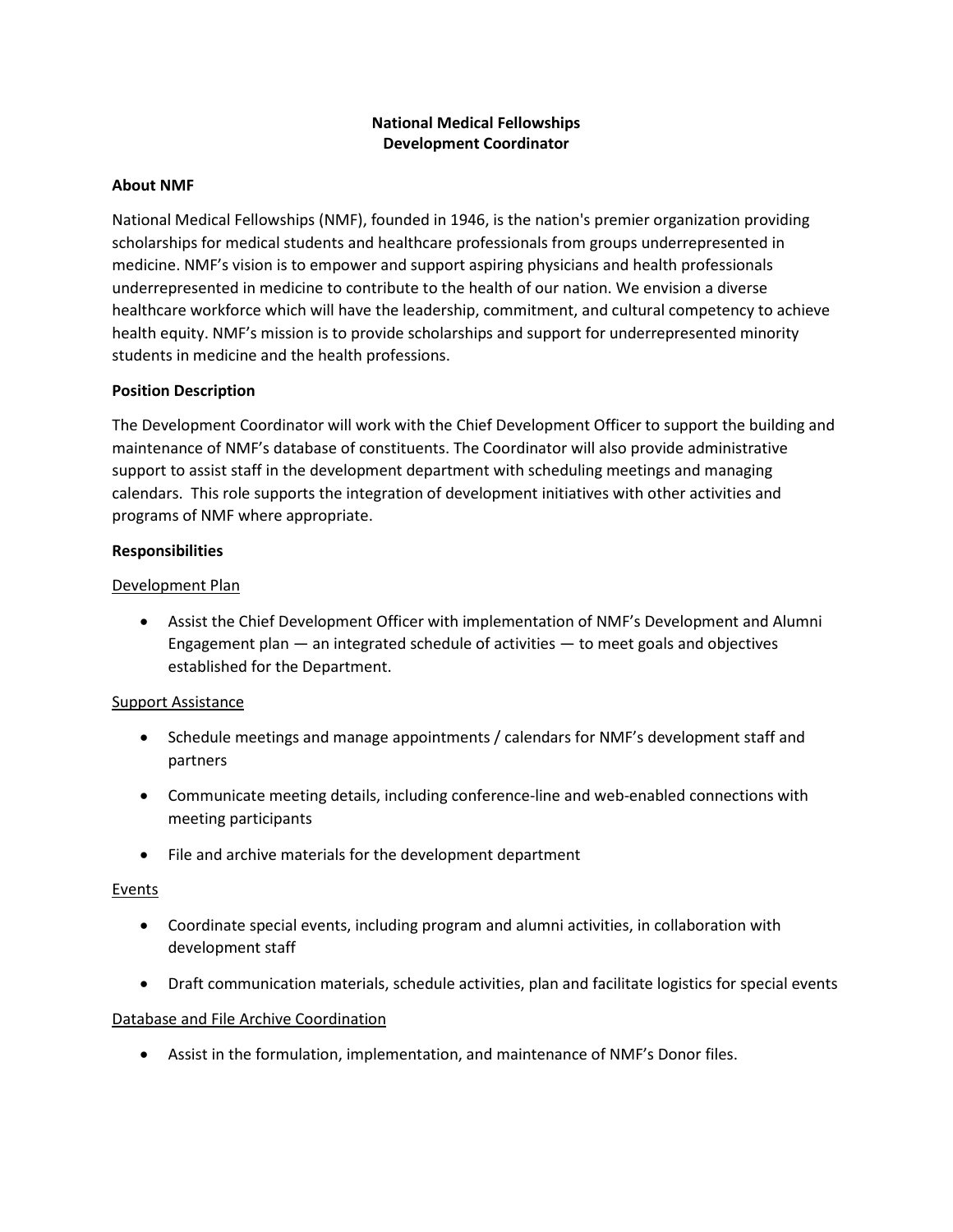# **National Medical Fellowships Development Coordinator**

#### **About NMF**

National Medical Fellowships (NMF), founded in 1946, is the nation's premier organization providing scholarships for medical students and healthcare professionals from groups underrepresented in medicine. NMF's vision is to empower and support aspiring physicians and health professionals underrepresented in medicine to contribute to the health of our nation. We envision a diverse healthcare workforce which will have the leadership, commitment, and cultural competency to achieve health equity. NMF's mission is to provide scholarships and support for underrepresented minority students in medicine and the health professions.

## **Position Description**

The Development Coordinator will work with the Chief Development Officer to support the building and maintenance of NMF's database of constituents. The Coordinator will also provide administrative support to assist staff in the development department with scheduling meetings and managing calendars. This role supports the integration of development initiatives with other activities and programs of NMF where appropriate.

#### **Responsibilities**

#### Development Plan

• Assist the Chief Development Officer with implementation of NMF's Development and Alumni Engagement plan  $-$  an integrated schedule of activities  $-$  to meet goals and objectives established for the Department.

## Support Assistance

- Schedule meetings and manage appointments / calendars for NMF's development staff and partners
- Communicate meeting details, including conference-line and web-enabled connections with meeting participants
- File and archive materials for the development department

#### **Events**

- Coordinate special events, including program and alumni activities, in collaboration with development staff
- Draft communication materials, schedule activities, plan and facilitate logistics for special events

#### Database and File Archive Coordination

• Assist in the formulation, implementation, and maintenance of NMF's Donor files.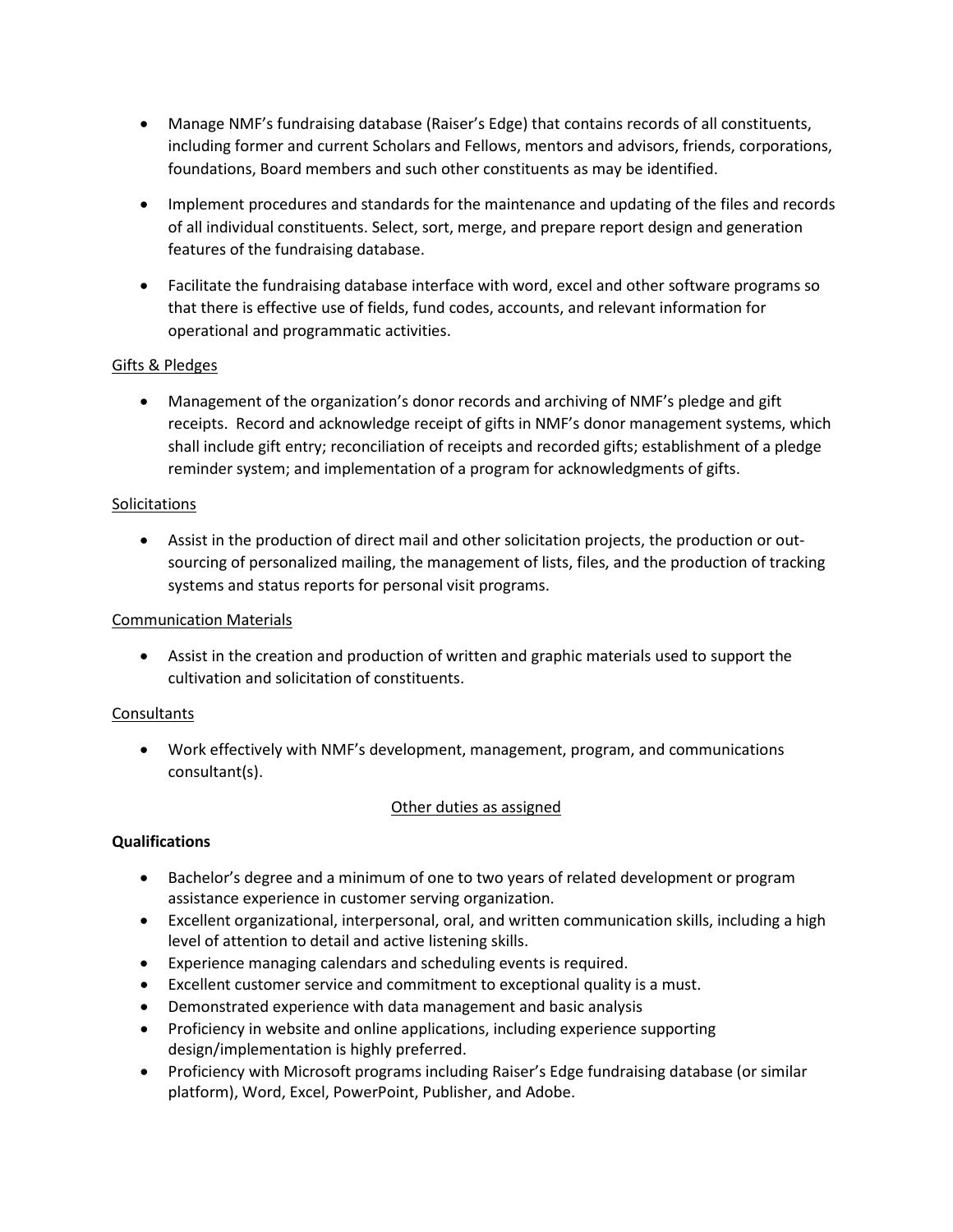- Manage NMF's fundraising database (Raiser's Edge) that contains records of all constituents, including former and current Scholars and Fellows, mentors and advisors, friends, corporations, foundations, Board members and such other constituents as may be identified.
- Implement procedures and standards for the maintenance and updating of the files and records of all individual constituents. Select, sort, merge, and prepare report design and generation features of the fundraising database.
- Facilitate the fundraising database interface with word, excel and other software programs so that there is effective use of fields, fund codes, accounts, and relevant information for operational and programmatic activities.

# Gifts & Pledges

• Management of the organization's donor records and archiving of NMF's pledge and gift receipts. Record and acknowledge receipt of gifts in NMF's donor management systems, which shall include gift entry; reconciliation of receipts and recorded gifts; establishment of a pledge reminder system; and implementation of a program for acknowledgments of gifts.

## Solicitations

• Assist in the production of direct mail and other solicitation projects, the production or outsourcing of personalized mailing, the management of lists, files, and the production of tracking systems and status reports for personal visit programs.

## Communication Materials

• Assist in the creation and production of written and graphic materials used to support the cultivation and solicitation of constituents.

## **Consultants**

• Work effectively with NMF's development, management, program, and communications consultant(s).

## Other duties as assigned

## **Qualifications**

- Bachelor's degree and a minimum of one to two years of related development or program assistance experience in customer serving organization.
- Excellent organizational, interpersonal, oral, and written communication skills, including a high level of attention to detail and active listening skills.
- Experience managing calendars and scheduling events is required.
- Excellent customer service and commitment to exceptional quality is a must.
- Demonstrated experience with data management and basic analysis
- Proficiency in website and online applications, including experience supporting design/implementation is highly preferred.
- Proficiency with Microsoft programs including Raiser's Edge fundraising database (or similar platform), Word, Excel, PowerPoint, Publisher, and Adobe.